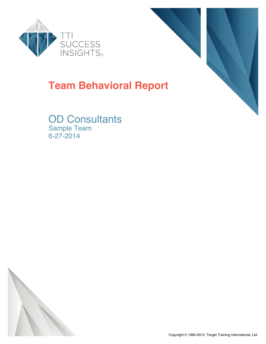



# **Team Behavioral Report**

OD Consultants Sample Team 6-27-2014

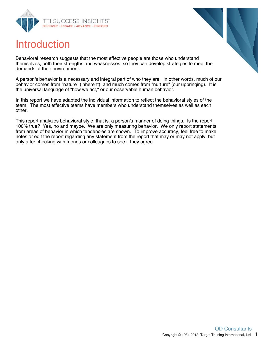

# Introduction



Behavioral research suggests that the most effective people are those who understand themselves, both their strengths and weaknesses, so they can develop strategies to meet the demands of their environment.

A person's behavior is a necessary and integral part of who they are. In other words, much of our behavior comes from "nature" (inherent), and much comes from "nurture" (our upbringing). It is the universal language of "how we act," or our observable human behavior.

In this report we have adapted the individual information to reflect the behavioral styles of the team. The most effective teams have members who understand themselves as well as each other.

This report analyzes behavioral style; that is, a person's manner of doing things. Is the report 100% true? Yes, no and maybe. We are only measuring behavior. We only report statements from areas of behavior in which tendencies are shown. To improve accuracy, feel free to make notes or edit the report regarding any statement from the report that may or may not apply, but only after checking with friends or colleagues to see if they agree.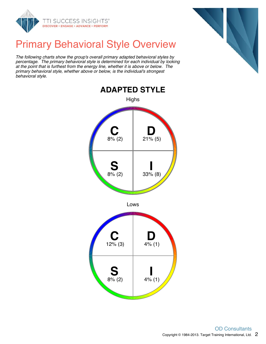

# Primary Behavioral Style Overview

The following charts show the group's overall primary adapted behavioral styles by percentage. The primary behavioral style is determined for each individual by looking at the point that is furthest from the energy line, whether it is above or below. The primary behavioral style, whether above or below, is the individual's strongest behavioral style.





Lows

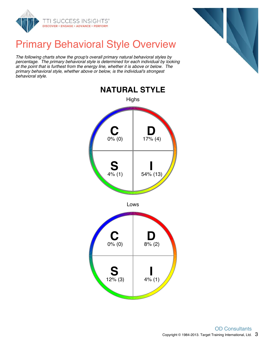

# Primary Behavioral Style Overview

The following charts show the group's overall primary natural behavioral styles by percentage. The primary behavioral style is determined for each individual by looking at the point that is furthest from the energy line, whether it is above or below. The primary behavioral style, whether above or below, is the individual's strongest behavioral style.





Lows

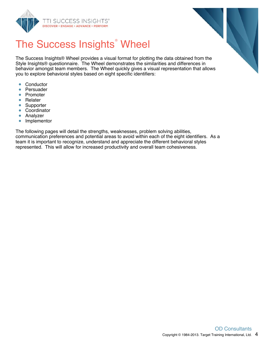



# The Success Insights<sup>®</sup> Wheel

The Success Insights® Wheel provides a visual format for plotting the data obtained from the Style Insights® questionnaire. The Wheel demonstrates the similarities and differences in behavior amongst team members. The Wheel quickly gives a visual representation that allows you to explore behavioral styles based on eight specific identifiers:

- **Conductor**  $\bullet$
- $\bullet$ Persuader
- $\bullet$ Promoter
- Relater ŏ
- Supporter  $\bullet$
- $\bullet$ Coordinator
- $\bullet$ Analyzer
- Implementor  $\bullet$

The following pages will detail the strengths, weaknesses, problem solving abilities, communication preferences and potential areas to avoid within each of the eight identifiers. As a team it is important to recognize, understand and appreciate the different behavioral styles represented. This will allow for increased productivity and overall team cohesiveness.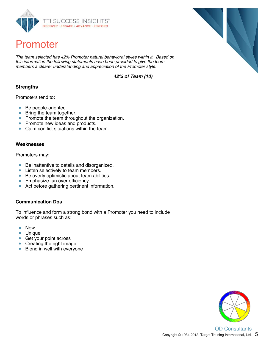

# Promoter

The team selected has 42% Promoter natural behavioral styles within it. Based on this information the following statements have been provided to give the team members a clearer understanding and appreciation of the Promoter style.

**42% of Team (10)**

### **Strengths**

Promoters tend to:

- $\bullet$ Be people-oriented.
- Bring the team together.
- Promote the team throughout the organization.
- Promote new ideas and products.
- Calm conflict situations within the team.  $\bullet$

#### **Weaknesses**

Promoters may:

- Be inattentive to details and disorganized.  $\bullet$
- Listen selectively to team members.  $\bullet$
- Be overly optimistic about team abilities.  $\bullet$
- **Emphasize fun over efficiency.**
- $\bullet$ Act before gathering pertinent information.

### **Communication Dos**

To influence and form a strong bond with a Promoter you need to include words or phrases such as:

- $\bullet$ New
- Unique  $\bullet$
- Get your point across
- Creating the right image
- $\bullet$ Blend in well with everyone

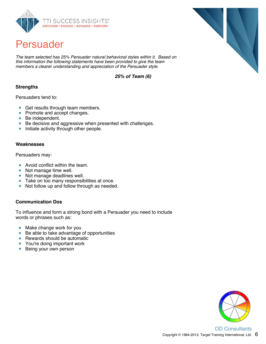

## Persuader

The team selected has 25% Persuader natural behavioral styles within it. Based on this information the following statements have been provided to give the team members a clearer understanding and appreciation of the Persuader style.

**25% of Team (6)**

### **Strengths**

Persuaders tend to:

- **Get results through team members.**
- Promote and accept changes.
- Be independent.  $\bullet$
- Be decisive and aggressive when presented with challenges.
- Initiate activity through other people.  $\bullet$

#### **Weaknesses**

Persuaders may:

- Avoid conflict within the team.  $\bullet$
- Not manage time well.  $\bullet$
- Not manage deadlines well.  $\bullet$
- Take on too many responsibilities at once.  $\bullet$
- $\bullet$ Not follow up and follow through as needed.

### **Communication Dos**

To influence and form a strong bond with a Persuader you need to include words or phrases such as:

- $\bullet$ Make change work for you
- Be able to take advantage of opportunities
- Rewards should be automatic
- You're doing important work
- Being your own person  $\bullet$

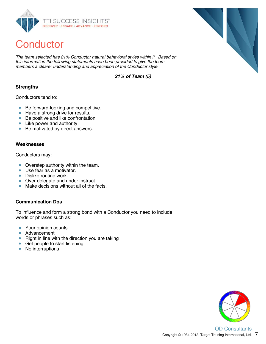

# **Conductor**

The team selected has 21% Conductor natural behavioral styles within it. Based on this information the following statements have been provided to give the team members a clearer understanding and appreciation of the Conductor style.

**21% of Team (5)**

### **Strengths**

Conductors tend to:

- Be forward-looking and competitive.
- Have a strong drive for results.
- Be positive and like confrontation.  $\bullet$
- Like power and authority.
- Be motivated by direct answers.  $\bullet$

#### **Weaknesses**

Conductors may:

- Overstep authority within the team.  $\bullet$
- Use fear as a motivator.  $\bullet$
- $\bullet$ Dislike routine work.
- Over delegate and under instruct.
- $\bullet$ Make decisions without all of the facts.

### **Communication Dos**

To influence and form a strong bond with a Conductor you need to include words or phrases such as:

- $\bullet$ Your opinion counts
- $\bullet$ Advancement
- Right in line with the direction you are taking
- Get people to start listening
- $\bullet$ No interruptions

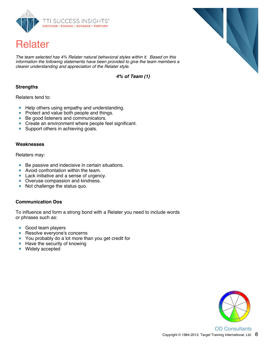

# Relater

The team selected has 4% Relater natural behavioral styles within it. Based on this information the following statements have been provided to give the team members a clearer understanding and appreciation of the Relater style.

**4% of Team (1)**

### **Strengths**

Relaters tend to:

- $\bullet$ Help others using empathy and understanding.
- $\bullet$ Protect and value both people and things.
- Be good listeners and communicators.  $\bullet$
- Create an environment where people feel significant.
- Support others in achieving goals.  $\bullet$

#### **Weaknesses**

Relaters may:

- Be passive and indecisive in certain situations.  $\bullet$
- Avoid confrontation within the team.  $\bullet$
- Lack initiative and a sense of urgency.
- Overuse compassion and kindness.
- $\bullet$ Not challenge the status quo.

### **Communication Dos**

To influence and form a strong bond with a Relater you need to include words or phrases such as:

- $\bullet$ Good team players
- Resolve everyone's concerns  $\bullet$
- You probably do a lot more than you get credit for
- Have the security of knowing
- $\bullet$ Widely accepted



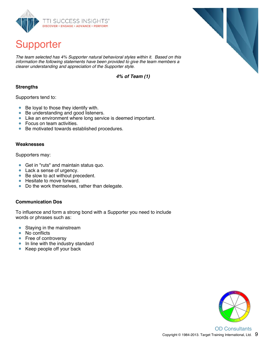

# Supporter

The team selected has 4% Supporter natural behavioral styles within it. Based on this information the following statements have been provided to give the team members a clearer understanding and appreciation of the Supporter style.

**4% of Team (1)**

### **Strengths**

Supporters tend to:

- $\bullet$  Be loyal to those they identify with.
- Be understanding and good listeners.
- Like an environment where long service is deemed important.
- Focus on team activities.
- Be motivated towards established procedures.  $\bullet$

#### **Weaknesses**

Supporters may:

- **Get in "ruts" and maintain status quo.**
- Lack a sense of urgency.
- Be slow to act without precedent.
- Hesitate to move forward.
- $\bullet$ Do the work themselves, rather than delegate.

### **Communication Dos**

To influence and form a strong bond with a Supporter you need to include words or phrases such as:

- $\bullet$ Staying in the mainstream
- $\bullet$ No conflicts
- Free of controversy
- In line with the industry standard
- $\bullet$  Keep people off your back

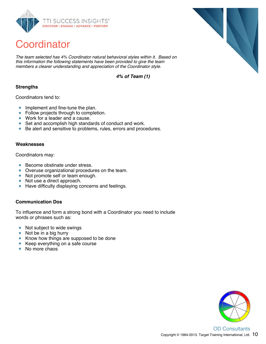

# **Coordinator**

The team selected has 4% Coordinator natural behavioral styles within it. Based on this information the following statements have been provided to give the team members a clearer understanding and appreciation of the Coordinator style.

**4% of Team (1)**

### **Strengths**

Coordinators tend to:

- $\bullet$ Implement and fine-tune the plan.
- Follow projects through to completion.  $\bullet$
- Work for a leader and a cause.  $\bullet$
- Set and accomplish high standards of conduct and work.
- Be alert and sensitive to problems, rules, errors and procedures.  $\bullet$

#### **Weaknesses**

Coordinators may:

- $\bullet$ Become obstinate under stress.
- Overuse organizational procedures on the team.  $\bullet$
- Not promote self or team enough.  $\bullet$
- Not use a direct approach.  $\bullet$
- $\bullet$ Have difficulty displaying concerns and feelings.

### **Communication Dos**

To influence and form a strong bond with a Coordinator you need to include words or phrases such as:

- $\bullet$ Not subject to wide swings
- Not be in a big hurry
- Know how things are supposed to be done
- Keep everything on a safe course
- No more chaos





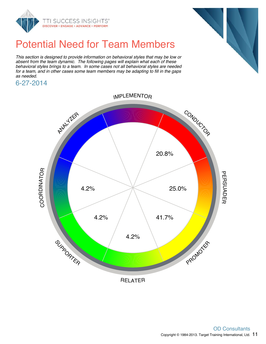



# Potential Need for Team Members

This section is designed to provide information on behavioral styles that may be low or absent from the team dynamic. The following pages will explain what each of these behavioral styles brings to a team. In some cases not all behavioral styles are needed for a team, and in other cases some team members may be adapting to fill in the gaps as needed.

6-27-2014

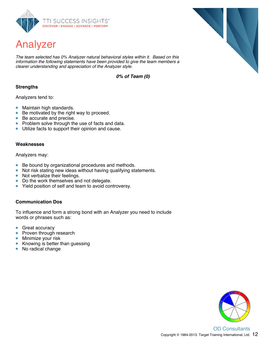

# Analyzer

The team selected has 0% Analyzer natural behavioral styles within it. Based on this information the following statements have been provided to give the team members a clearer understanding and appreciation of the Analyzer style.

**0% of Team (0)**

### **Strengths**

Analyzers tend to:

- Maintain high standards.  $\bullet$
- Be motivated by the right way to proceed.  $\bullet$
- $\bullet$ Be accurate and precise.
- Problem solve through the use of facts and data.  $\bullet$
- Utilize facts to support their opinion and cause.  $\bullet$

#### **Weaknesses**

Analyzers may:

- Be bound by organizational procedures and methods.  $\bullet$
- Not risk stating new ideas without having qualifying statements.  $\bullet$
- Not verbalize their feelings.  $\bullet$
- Do the work themselves and not delegate.  $\bullet$
- $\bullet$ Yield position of self and team to avoid controversy.

### **Communication Dos**

To influence and form a strong bond with an Analyzer you need to include words or phrases such as:

- $\bullet$ Great accuracy
- Proven through research  $\bullet$
- Minimize your risk  $\bullet$
- Knowing is better than guessing  $\bullet$
- No radical change  $\bullet$

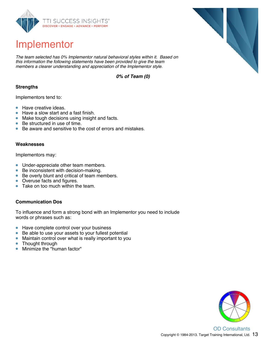

# Implementor

The team selected has 0% Implementor natural behavioral styles within it. Based on this information the following statements have been provided to give the team members a clearer understanding and appreciation of the Implementor style.

**0% of Team (0)**

### **Strengths**

Implementors tend to:

- Have creative ideas.  $\bullet$
- Have a slow start and a fast finish. ä
- Make tough decisions using insight and facts.
- Be structured in use of time.  $\bullet$
- Be aware and sensitive to the cost of errors and mistakes.  $\bullet$

#### **Weaknesses**

Implementors may:

- Under-appreciate other team members.  $\bullet$
- Be inconsistent with decision-making.  $\bullet$
- Be overly blunt and critical of team members.  $\bullet$
- Overuse facts and figures.  $\bullet$
- ò Take on too much within the team.

#### **Communication Dos**

To influence and form a strong bond with an Implementor you need to include words or phrases such as:

- $\bullet$ Have complete control over your business
- Be able to use your assets to your fullest potential  $\bullet$
- $\bullet$ Maintain control over what is really important to you
- Thought through  $\bullet$
- Minimize the "human factor"  $\bullet$

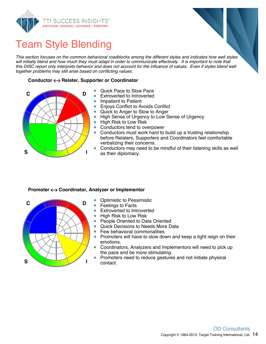



# Team Style Blending

This section focuses on the common behavioral roadblocks among the different styles and indicates how well styles will initially blend and how much they must adapt in order to communicate effectively. It is important to note that this DISC report only interprets behavior and does not account for the influence of values. Even if styles blend well together problems may still arise based on conflicting values.

#### **Conductor Relater, Supporter or Coordinator**



- Quick Pace to Slow Pace
- Extroverted to Introverted
- $\bullet$ Impatient to Patient
- Enjoys Conflict to Avoids Conflict  $\bullet$
- Quick to Anger to Slow to Anger  $\bullet$
- $\bullet$ High Sense of Urgency to Low Sense of Urgency
- $\bullet$ High Risk to Low Risk
- $\bullet$ Conductors tend to overpower
- $\bullet$ Conductors must work hard to build up a trusting relationship before Relaters, Supporters and Coordinators feel comfortable verbalizing their concerns.
- Conductors may need to be mindful of their listening skills as well  $\bullet$ as their diplomacy.

#### **Promoter Coordinator, Analyzer or Implementor**



- Optimistic to Pessimistic
- Feelings to Facts
- Extroverted to Introverted  $\bullet$
- High Risk to Low Risk  $\bullet$
- $\bullet$ People Oriented to Data Oriented
- Quick Decisions to Needs More Data  $\bullet$
- $\bullet$ Few behavioral commonalities
- $\bullet$ Promoters will have to slow down and keep a tight reign on their emotions.
- Coordinators, Analyzers and Implementors will need to pick up  $\bullet$ the pace and be more stimulating.
- Promoters need to reduce gestures and not initiate physical ö contact.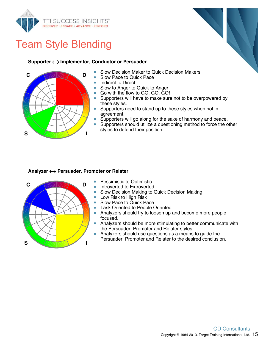

# Team Style Blending



#### **Supporter Implementor, Conductor or Persuader**



- Slow Decision Maker to Quick Decision Makers  $\bullet$
- Slow Pace to Quick Pace
- $\bullet$ Indirect to Direct
- $\bullet$ Slow to Anger to Quick to Anger
- $\bullet$ Go with the flow to GO, GO, GO!
- $\bullet$ Supporters will have to make sure not to be overpowered by these styles.
- $\bullet$ Supporters need to stand up to these styles when not in agreement.
- $\bullet$ Supporters will go along for the sake of harmony and peace.
- $\bullet$ Supporters should utilize a questioning method to force the other styles to defend their position.

#### **Analyzer** ← Persuader, Promoter or Relater



- Pessimistic to Optimistic
- Introverted to Extroverted
- Slow Decision Making to Quick Decision Making  $\bullet$
- $\bullet$ Low Risk to High Risk
- $\bullet$ Slow Pace to Quick Pace
- Task Oriented to People Oriented  $\bullet$
- $\bullet$ Analyzers should try to loosen up and become more people focused.
- $\bullet$ Analyzers should be more stimulating to better communicate with the Persuader, Promoter and Relater styles.
- $\bullet$ Analyzers should use questions as a means to guide the Persuader, Promoter and Relater to the desired conclusion.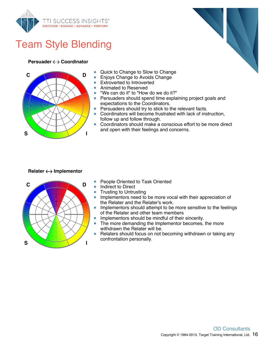

# Team Style Blending

#### **Persuader Coordinator**



- Quick to Change to Slow to Change
- Enjoys Change to Avoids Change
- $\bullet$ Extroverted to Introverted
- Animated to Reserved  $\bullet$
- "We can do it" to "How do we do it?"  $\bullet$
- Persuaders should spend time explaining project goals and  $\bullet$ expectations to the Coordinators.
- **•** Persuaders should try to stick to the relevant facts.
- Coordinators will become frustrated with lack of instruction, follow up and follow through.
- $\bullet$ Coordinators should make a conscious effort to be more direct and open with their feelings and concerns.

### **Relater Implementor**



- People Oriented to Task Oriented
- Indirect to Direct
- Trusting to Untrusting  $\bullet$
- Implementors need to be more vocal with their appreciation of  $\bullet$ the Relater and the Relater's work.
- $\bullet$ Implementors should attempt to be more sensitive to the feelings of the Relater and other team members
- $\bullet$ Implementors should be mindful of their sincerity.
- $\bullet$ The more demanding the Implementor becomes, the more withdrawn the Relater will be.
- $\bullet$ Relaters should focus on not becoming withdrawn or taking any confrontation personally.

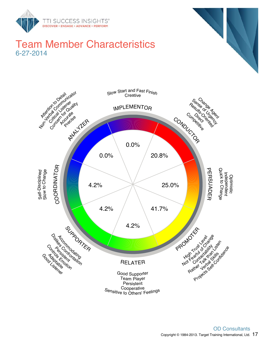

### Team Member Characteristics 6-27-2014



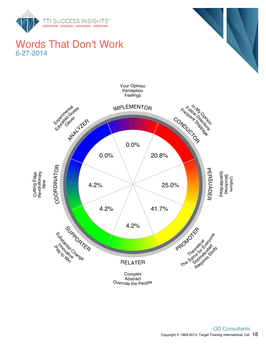

### Words That Don't Work 6-27-2014





Override the People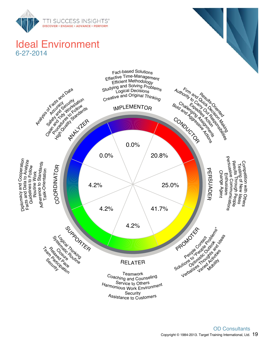

## Ideal Environment 6-27-2014

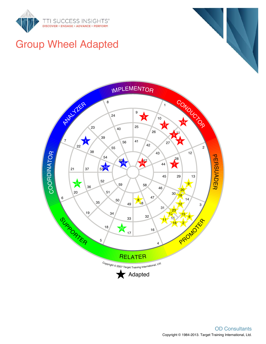





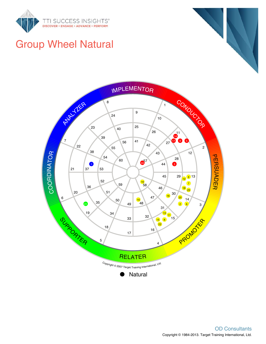